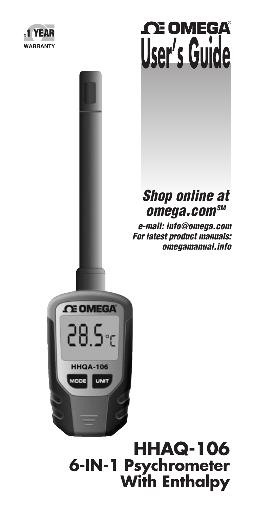



### *Shop online at omega.comSM*

 *e-mail: info@omega.com For latest product manuals: omegamanual.info*



### **HHAQ-106 6-IN-1 Psychrometer With Enthalpy**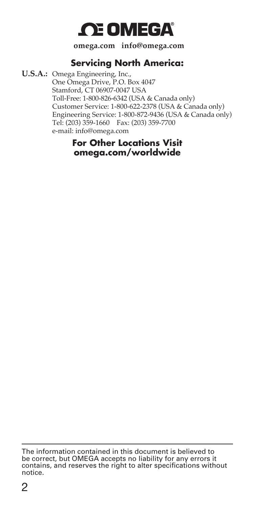## *C***E OMEGA**

**omega.com info@omega.com**

### **Servicing North America:**

**U.S.A.:** Omega Engineering, Inc., One Omega Drive, P.O. Box 4047 Stamford, CT 06907-0047 USA Toll-Free: 1-800-826-6342 (USA & Canada only) Customer Service: 1-800-622-2378 (USA & Canada only) Engineering Service: 1-800-872-9436 (USA & Canada only) Tel: (203) 359-1660 Fax: (203) 359-7700 e-mail: info@omega.com

### **For Other Locations Visit omega.com/worldwide**

The information contained in this document is believed to be correct, but OMEGA accepts no liability for any errors it contains, and reserves the right to alter specifications without notice.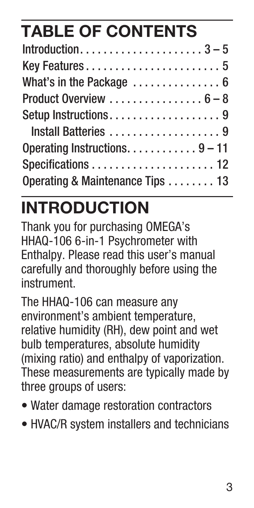# **TABLE OF CONTENTS**

| What's in the Package  6        |
|---------------------------------|
|                                 |
| Setup Instructions9             |
| Install Batteries 9             |
| Operating Instructions. 9 – 11  |
|                                 |
| Operating & Maintenance Tips 13 |

# **INTRODUCTION**

Thank you for purchasing OMEGA's HHAQ-106 6-in-1 Psychrometer with Enthalpy. Please read this user's manual carefully and thoroughly before using the instrument.

The HHAQ-106 can measure any environment's ambient temperature, relative humidity (RH), dew point and wet bulb temperatures, absolute humidity (mixing ratio) and enthalpy of vaporization. These measurements are typically made by three groups of users:

- Water damage restoration contractors
- HVAC/R system installers and technicians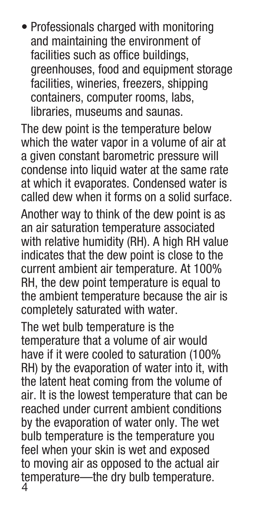• Professionals charged with monitoring and maintaining the environment of facilities such as office buildings, greenhouses, food and equipment storage facilities, wineries, freezers, shipping containers, computer rooms, labs, libraries, museums and saunas.

The dew point is the temperature below which the water vapor in a volume of air at a given constant barometric pressure will condense into liquid water at the same rate at which it evaporates. Condensed water is called dew when it forms on a solid surface.

Another way to think of the dew point is as an air saturation temperature associated with relative humidity (RH). A high RH value indicates that the dew point is close to the current ambient air temperature. At 100% RH, the dew point temperature is equal to the ambient temperature because the air is completely saturated with water.

The wet bulb temperature is the temperature that a volume of air would have if it were cooled to saturation (100% RH) by the evaporation of water into it, with the latent heat coming from the volume of air. It is the lowest temperature that can be reached under current ambient conditions by the evaporation of water only. The wet bulb temperature is the temperature you feel when your skin is wet and exposed to moving air as opposed to the actual air temperature—the dry bulb temperature. 4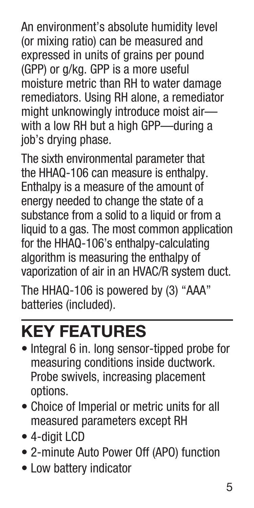An environment's absolute humidity level (or mixing ratio) can be measured and expressed in units of grains per pound (GPP) or g/kg. GPP is a more useful moisture metric than RH to water damage remediators. Using RH alone, a remediator might unknowingly introduce moist air with a low RH but a high GPP—during a job's drying phase.

The sixth environmental parameter that the HHAQ-106 can measure is enthalpy. Enthalpy is a measure of the amount of energy needed to change the state of a substance from a solid to a liquid or from a liquid to a gas. The most common application for the HHAQ-106's enthalpy-calculating algorithm is measuring the enthalpy of vaporization of air in an HVAC/R system duct.

The HHAQ-106 is powered by (3) "AAA" batteries (included).

# **KEY FEATURES**

- Integral 6 in. long sensor-tipped probe for measuring conditions inside ductwork. Probe swivels, increasing placement options.
- Choice of Imperial or metric units for all measured parameters except RH
- 4-digit LCD
- 2-minute Auto Power Off (APO) function
- Low battery indicator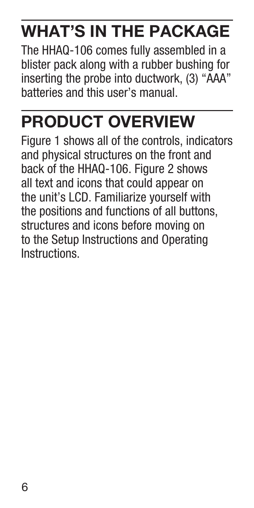# **WHAT'S IN THE PACKAGE**

The HHAQ-106 comes fully assembled in a blister pack along with a rubber bushing for inserting the probe into ductwork, (3) "AAA" batteries and this user's manual.

# **PRODUCT OVERVIEW**

Figure 1 shows all of the controls, indicators and physical structures on the front and back of the HHAQ-106. Figure 2 shows all text and icons that could appear on the unit's LCD. Familiarize yourself with the positions and functions of all buttons, structures and icons before moving on to the Setup Instructions and Operating Instructions.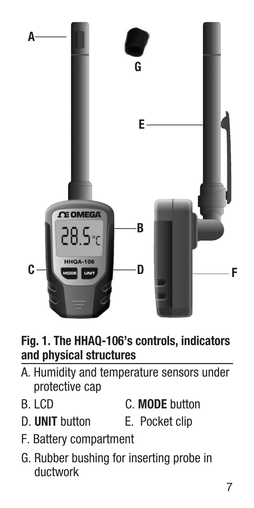

### **Fig. 1. The HHAQ-106's controls, indicators and physical structures**

- A. Humidity and temperature sensors under protective cap
- B. LCD C. **MODE** button
- D. **UNIT** button E. Pocket clip
- 
- F. Battery compartment
- G. Rubber bushing for inserting probe in ductwork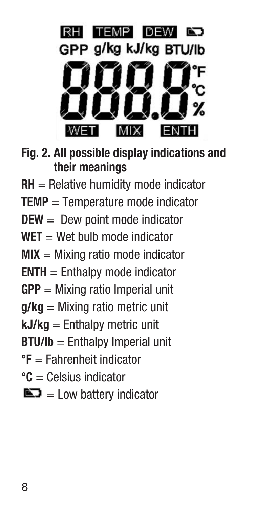

- **Fig. 2. All possible display indications and their meanings**
- **RH** = Relative humidity mode indicator
- **TEMP** = Temperature mode indicator
- **DEW** = Dew point mode indicator
- $WET = Wet$  bulb mode indicator
- **MIX** = Mixing ratio mode indicator
- **ENTH** = Enthalpy mode indicator
- **GPP** = Mixing ratio Imperial unit
- **g/kg** = Mixing ratio metric unit
- **kJ/kg** = Enthalpy metric unit
- **BTU/lb** = Enthalpy Imperial unit
- **°F** = Fahrenheit indicator
- **°C** = Celsius indicator
- $\blacksquare$  = Low battery indicator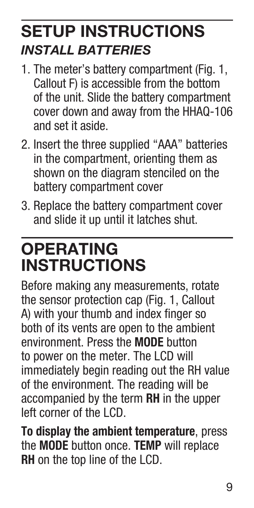## **SETUP INSTRUCTIONS** *INSTALL BATTERIES*

- 1. The meter's battery compartment (Fig. 1, Callout F) is accessible from the bottom of the unit. Slide the battery compartment cover down and away from the HHAQ-106 and set it aside.
- 2. Insert the three supplied "AAA" batteries in the compartment, orienting them as shown on the diagram stenciled on the battery compartment cover
- 3. Replace the battery compartment cover and slide it up until it latches shut.

## **OPERATING INSTRUCTIONS**

Before making any measurements, rotate the sensor protection cap (Fig. 1, Callout A) with your thumb and index finger so both of its vents are open to the ambient environment. Press the **MODE** button to power on the meter. The LCD will immediately begin reading out the RH value of the environment. The reading will be accompanied by the term **RH** in the upper left corner of the LCD.

**To display the ambient temperature**, press the **MODE** button once. **TEMP** will replace **RH** on the top line of the LCD.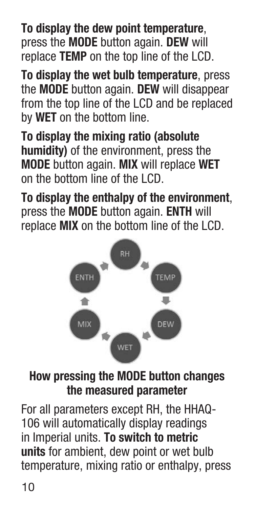**To display the dew point temperature**, press the **MODE** button again. **DEW** will replace **TEMP** on the top line of the LCD.

**To display the wet bulb temperature**, press the **MODE** button again. **DEW** will disappear from the top line of the LCD and be replaced by **WET** on the bottom line.

**To display the mixing ratio (absolute humidity)** of the environment, press the **MODE** button again. **MIX** will replace **WET** on the bottom line of the LCD.

**To display the enthalpy of the environment**, press the **MODE** button again. **ENTH** will replace **MIX** on the bottom line of the LCD.



### **How pressing the MODE button changes the measured parameter**

For all parameters except RH, the HHAQ-106 will automatically display readings in Imperial units. **To switch to metric units** for ambient, dew point or wet bulb temperature, mixing ratio or enthalpy, press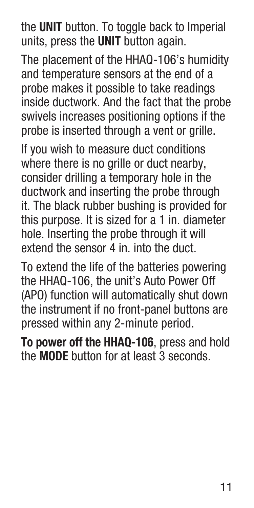the **UNIT** button. To toggle back to Imperial units, press the **UNIT** button again.

The placement of the HHAQ-106's humidity and temperature sensors at the end of a probe makes it possible to take readings inside ductwork. And the fact that the probe swivels increases positioning options if the probe is inserted through a vent or grille.

If you wish to measure duct conditions where there is no grille or duct nearby, consider drilling a temporary hole in the ductwork and inserting the probe through it. The black rubber bushing is provided for this purpose. It is sized for a 1 in. diameter hole. Inserting the probe through it will extend the sensor 4 in. into the duct.

To extend the life of the batteries powering the HHAQ-106, the unit's Auto Power Off (APO) function will automatically shut down the instrument if no front-panel buttons are pressed within any 2-minute period.

**To power off the HHAQ-106**, press and hold the **MODE** button for at least 3 seconds.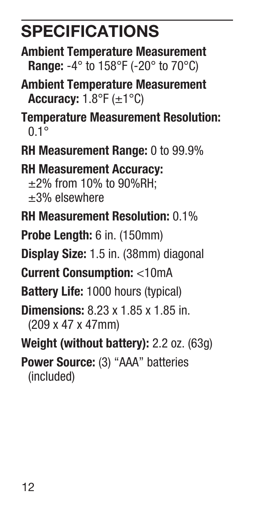## **SPECIFICATIONS**

- **Ambient Temperature Measurement Range:** -4° to 158°F (-20° to 70°C)
- **Ambient Temperature Measurement Accuracy:** 1.8°F (±1°C)
- **Temperature Measurement Resolution:**  $0.1^\circ$
- **RH Measurement Range:** 0 to 99.9%

**RH Measurement Accuracy:** ±2% from 10% to 90%RH; ±3% elsewhere

- **RH Measurement Resolution:** 0.1%
- **Probe Length:** 6 in. (150mm)
- **Display Size:** 1.5 in. (38mm) diagonal

**Current Consumption:** <10mA

- **Battery Life:** 1000 hours (typical)
- **Dimensions:** 8.23 x 1.85 x 1.85 in. (209 x 47 x 47mm)
- **Weight (without battery):** 2.2 oz. (63g)

**Power Source:** (3) "AAA" batteries (included)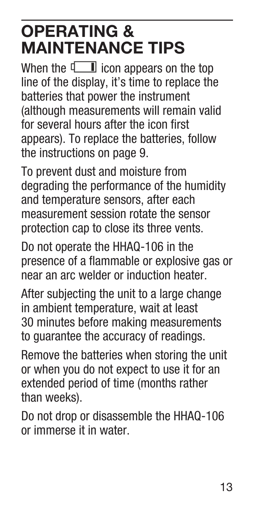## **OPERATING & MAINTENANCE TIPS**

When the  $\Box$  icon appears on the top line of the display, it's time to replace the batteries that power the instrument (although measurements will remain valid for several hours after the icon first appears). To replace the batteries, follow the instructions on page 9.

To prevent dust and moisture from degrading the performance of the humidity and temperature sensors, after each measurement session rotate the sensor protection cap to close its three vents.

Do not operate the HHAQ-106 in the presence of a flammable or explosive gas or near an arc welder or induction heater.

After subjecting the unit to a large change in ambient temperature, wait at least 30 minutes before making measurements to guarantee the accuracy of readings.

Remove the batteries when storing the unit or when you do not expect to use it for an extended period of time (months rather than weeks).

Do not drop or disassemble the HHAQ-106 or immerse it in water.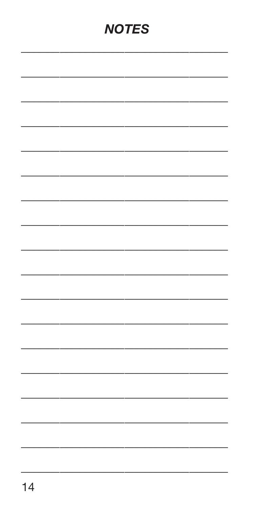### **NOTES**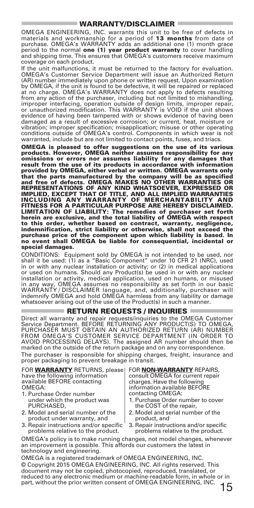#### WARRANTY/DISCLAIMER

OMEGA ENGINEERING, INC. warrants this unit to be free of defects in materials and workmanship for a period of 13 months from date of purchase. OMEGA's WARRANTY adds an additional one (1) month grace period to the normal **one (1) year product warranty** to cover handling<br>and shipping time. This ensures that OMEGA's customers receive maximum coverage on each product.

If the unit malfunctions, it must be returned to the factory for evaluation. OMEGA's Customer Service Department will issue an Authorized Return (AR) number immediately upon phone or written request. Upon examination by OMEGA, if the unit is found to be defective, it will be repaired or replaced at no charge. OMEGA's WARRANTY does not apply to defects resulting from any action of the purchaser, including but not limited to mishandling, improper interfacing, operation outside of design limits, improper repair, or unauthorized modification. This WARRANTY is VOID if the unit shows evidence of having been tampered with or shows evidence of having been damaged as a result of excessive corrosion; or current, heat, moisture or vibration; improper specification; misapplication; misuse or other operating conditions outside of OMEGA's control. Components in which wear is not warranted, include but are not limited to contact points, fuses, and triacs.

OMEGA is pleased to offer suggestions on the use of its various products. However, OMEGA neither assumes responsibility for any omissions or errors nor assumes liability for any damages that result from the use of its products in accordance with information provided by OMEGA, either verbal or written. OMEGA warrants only that the parts manufactured by the company will be as specified and free of defects. OMEGA MAKES NO OTHER WARRANTIES OR REPRESENTATIONS OF ANY KIND WHATSOEVER, EXPRESSED OR<br>IMPLIED, EXCEPT THAT OF TITLE, AND ALL IMPLIED WARRANTIES<br>INCLUDING ANY WARRANTY OF MERCHANTABILITY AND<br>FIMITATION OF LIABILITY: The remedies of purchaser set forth<br>LIMI herein are exclusive, and the total liability of OMEGA with respect to this order, whether based on contract, warranty, negligence, indemnification, strict liability or otherwise, shall not exceed the purchase price of the component upon which liability is based. In no event shall OMEGA be liable for consequential, incidental or special damages.

CONDITIONS: Equipment sold by OMEGA is not intended to be used, nor shall it be used: (1) as a "Basic Component" under 10 CFR 21 (NRC), used<br>in or with any nuclear installation or activity; or (2) in medical applications<br>or used on humans. Should any Product(s) be used in or with any nucle installation or activity, medical application, used on humans, or misused in any way, OMEGA assumes no responsibility as set forth in our basic WARRANTY / DISCLAIMER language, and, additionally, purchaser will indemnify OMEGA and hold OMEGA harmless from any liability or damage whatsoever arising out of the use of the Product(s) in such a manner.

#### $=$  RETURN REQUESTS / INQUIRIES  $=$

Direct all warranty and repair requests/inquiries to the OMEGA Customer Service Department. BEFORE RETURNING ANY PRODUCT(S) TO OMEGA PURCHASER MUST OBTAIN AN AUTHORIZED RETURN (AR) NUMBER<br>FROM OMEGA'S CUSTOMER SERVICE DEPARTMENT (IN ORDER TO<br>AVOID PROCESSING DELAYS). The assigned AR number should then be marked on the outside of the return package and on any correspondence. The purchaser is responsible for shipping charges, freight, insurance and proper packaging to prevent breakage in transit.

FOR **WARRANTY** RETURNS, please have the following information available BEFORE contacting OMEGA:

- 1. Purchase Order number under which the product was PURCHASED,
- 2. Model and serial number of the product under warranty, and
- 3. Repair instructions and/or specific problems relative to the product.

FOR NON-WARRANTY REPAIRS,<br>consult OMEGA for current repair charges. Have the following information available BEFORE contacting OMEGA:

- 1. Purchase Order number to cover the COST of the repair,
- 2. Model and serial number of the product, and
- 3. Repair instructions and/or specific problems relative to the product.

OMEGA's policy is to make running changes, not model changes, whenever an improvement is possible. This affords our customers the latest in technology and engineering.

OMEGA is a registered trademark of OMEGA ENGINEERING, INC. © Copyright 2015 OMEGA ENGINEERING, INC. All rights reserved. This document may not be copied, photocopied, reproduced, translated, or reduced to any electronic medium or machine-readable form, in whole or in part, without the prior written consent of OMEGA ENGINEERING, INC.